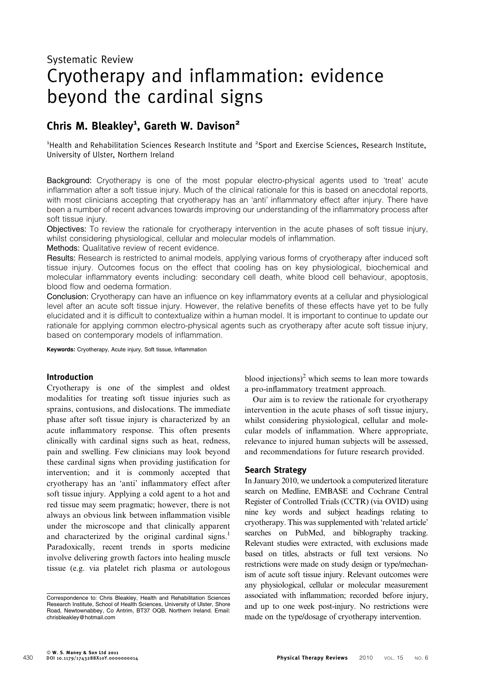# Cryotherapy and inflammation: evidence beyond the cardinal signs

# Chris M. Bleakley<sup>1</sup>, Gareth W. Davison<sup>2</sup>

<sup>1</sup>Health and Rehabilitation Sciences Research Institute and <sup>2</sup>Sport and Exercise Sciences, Research Institute, University of Ulster, Northern Ireland

Background: Cryotherapy is one of the most popular electro-physical agents used to 'treat' acute inflammation after a soft tissue injury. Much of the clinical rationale for this is based on anecdotal reports, with most clinicians accepting that cryotherapy has an 'anti' inflammatory effect after injury. There have been a number of recent advances towards improving our understanding of the inflammatory process after soft tissue injury.

Objectives: To review the rationale for cryotherapy intervention in the acute phases of soft tissue injury, whilst considering physiological, cellular and molecular models of inflammation.

Methods: Qualitative review of recent evidence.

Results: Research is restricted to animal models, applying various forms of cryotherapy after induced soft tissue injury. Outcomes focus on the effect that cooling has on key physiological, biochemical and molecular inflammatory events including: secondary cell death, white blood cell behaviour, apoptosis, blood flow and oedema formation.

Conclusion: Cryotherapy can have an influence on key inflammatory events at a cellular and physiological level after an acute soft tissue injury. However, the relative benefits of these effects have yet to be fully elucidated and it is difficult to contextualize within a human model. It is important to continue to update our rationale for applying common electro-physical agents such as cryotherapy after acute soft tissue injury, based on contemporary models of inflammation.

Keywords: Cryotherapy, Acute injury, Soft tissue, Inflammation

# Introduction

Cryotherapy is one of the simplest and oldest modalities for treating soft tissue injuries such as sprains, contusions, and dislocations. The immediate phase after soft tissue injury is characterized by an acute inflammatory response. This often presents clinically with cardinal signs such as heat, redness, pain and swelling. Few clinicians may look beyond these cardinal signs when providing justification for intervention; and it is commonly accepted that cryotherapy has an 'anti' inflammatory effect after soft tissue injury. Applying a cold agent to a hot and red tissue may seem pragmatic; however, there is not always an obvious link between inflammation visible under the microscope and that clinically apparent and characterized by the original cardinal signs.<sup>1</sup> Paradoxically, recent trends in sports medicine involve delivering growth factors into healing muscle tissue (e.g. via platelet rich plasma or autologous

blood injections) $^2$  which seems to lean more towards a pro-inflammatory treatment approach.

Our aim is to review the rationale for cryotherapy intervention in the acute phases of soft tissue injury, whilst considering physiological, cellular and molecular models of inflammation. Where appropriate, relevance to injured human subjects will be assessed, and recommendations for future research provided.

#### Search Strategy

In January 2010, we undertook a computerized literature search on Medline, EMBASE and Cochrane Central Register of Controlled Trials (CCTR) (via OVID) using nine key words and subject headings relating to cryotherapy. This was supplemented with 'related article' searches on PubMed, and biblography tracking. Relevant studies were extracted, with exclusions made based on titles, abstracts or full text versions. No restrictions were made on study design or type/mechanism of acute soft tissue injury. Relevant outcomes were any physiological, cellular or molecular measurement associated with inflammation; recorded before injury, and up to one week post-injury. No restrictions were made on the type/dosage of cryotherapy intervention.

Correspondence to: Chris Bleakley, Health and Rehabilitation Sciences Research Institute, School of Health Sciences, University of Ulster, Shore Road, Newtownabbey, Co Antrim, BT37 OQB, Northern Ireland. Email: chrisbleakley@hotmail.com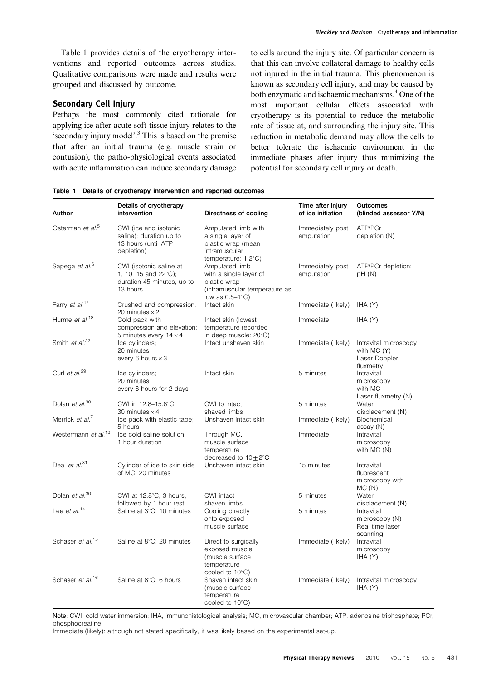Table 1 provides details of the cryotherapy interventions and reported outcomes across studies. Qualitative comparisons were made and results were grouped and discussed by outcome.

#### Secondary Cell Injury

Perhaps the most commonly cited rationale for applying ice after acute soft tissue injury relates to the 'secondary injury model'.<sup>3</sup> This is based on the premise that after an initial trauma (e.g. muscle strain or contusion), the patho-physiological events associated with acute inflammation can induce secondary damage to cells around the injury site. Of particular concern is that this can involve collateral damage to healthy cells not injured in the initial trauma. This phenomenon is known as secondary cell injury, and may be caused by both enzymatic and ischaemic mechanisms.<sup>4</sup> One of the most important cellular effects associated with cryotherapy is its potential to reduce the metabolic rate of tissue at, and surrounding the injury site. This reduction in metabolic demand may allow the cells to better tolerate the ischaemic environment in the immediate phases after injury thus minimizing the potential for secondary cell injury or death.

| Author                          | Details of cryotherapy<br>intervention                                                    | Directness of cooling                                                                                            | Time after injury<br>of ice initiation | Outcomes<br>(blinded assessor Y/N)                                 |
|---------------------------------|-------------------------------------------------------------------------------------------|------------------------------------------------------------------------------------------------------------------|----------------------------------------|--------------------------------------------------------------------|
| Osterman et al. <sup>5</sup>    | CWI (ice and isotonic<br>saline); duration up to<br>13 hours (until ATP<br>depletion)     | Amputated limb with<br>a single layer of<br>plastic wrap (mean<br>intramuscular<br>temperature: $1.2^{\circ}$ C) | Immediately post<br>amputation         | ATP/PCr<br>depletion (N)                                           |
| Sapega et al. <sup>6</sup>      | CWI (isotonic saline at<br>1, 10, 15 and 22°C);<br>duration 45 minutes, up to<br>13 hours | Amputated limb<br>with a single layer of<br>plastic wrap<br>(intramuscular temperature as<br>low as $0.5-1$ °C)  | Immediately post<br>amputation         | ATP/PCr depletion;<br>pH(M)                                        |
| Farry et al. <sup>17</sup>      | Crushed and compression,<br>20 minutes $\times$ 2                                         | Intact skin                                                                                                      | Immediate (likely)                     | IHA (Y)                                                            |
| Hurme et al. <sup>18</sup>      | Cold pack with<br>compression and elevation;<br>5 minutes every $14 \times 4$             | Intact skin (lowest<br>temperature recorded<br>in deep muscle: 20°C)                                             | Immediate                              | HA(Y)                                                              |
| Smith et al. <sup>22</sup>      | Ice cylinders;<br>20 minutes<br>every 6 hours $\times$ 3                                  | Intact unshaven skin                                                                                             | Immediate (likely)                     | Intravital microscopy<br>with MC (Y)<br>Laser Doppler<br>fluxmetry |
| Curl et al. <sup>29</sup>       | Ice cylinders;<br>20 minutes<br>every 6 hours for 2 days                                  | Intact skin                                                                                                      | 5 minutes                              | Intravital<br>microscopy<br>with MC<br>Laser fluxmetry (N)         |
| Dolan et al. <sup>30</sup>      | CWI in 12.8-15.6°C;<br>30 minutes $\times$ 4                                              | CWI to intact<br>shaved limbs                                                                                    | 5 minutes                              | Water<br>displacement (N)                                          |
| Merrick et al. <sup>7</sup>     | Ice pack with elastic tape;<br>5 hours                                                    | Unshaven intact skin                                                                                             | Immediate (likely)                     | Biochemical<br>assay (N)                                           |
| Westermann et al. <sup>13</sup> | Ice cold saline solution:<br>1 hour duration                                              | Through MC,<br>muscle surface<br>temperature<br>decreased to $10+2$ °C                                           | Immediate                              | Intravital<br>microscopy<br>with MC (N)                            |
| Deal et $al^{31}$               | Cylinder of ice to skin side<br>of MC; 20 minutes                                         | Unshaven intact skin                                                                                             | 15 minutes                             | Intravital<br>fluorescent<br>microscopy with<br>MC(N)              |
| Dolan et al. <sup>30</sup>      | CWI at $12.8^{\circ}$ C; 3 hours,<br>followed by 1 hour rest                              | CWI intact<br>shaven limbs                                                                                       | 5 minutes                              | Water<br>displacement (N)                                          |
| Lee et al. <sup>14</sup>        | Saline at 3°C; 10 minutes                                                                 | Cooling directly<br>onto exposed<br>muscle surface                                                               | 5 minutes                              | Intravital<br>microscopy (N)<br>Real time laser<br>scanning        |
| Schaser et al. <sup>15</sup>    | Saline at 8°C; 20 minutes                                                                 | Direct to surgically<br>exposed muscle<br>(muscle surface<br>temperature<br>cooled to $10^{\circ}$ C)            | Immediate (likely)                     | Intravital<br>microscopy<br>IHA (Y)                                |
| Schaser et al. <sup>16</sup>    | Saline at 8°C; 6 hours                                                                    | Shaven intact skin<br>(muscle surface<br>temperature<br>cooled to 10°C)                                          | Immediate (likely)                     | Intravital microscopy<br>IHA (Y)                                   |

Table 1 Details of cryotherapy intervention and reported outcomes

Note: CWI, cold water immersion; IHA, immunohistological analysis; MC, microvascular chamber; ATP, adenosine triphosphate; PCr, phosphocreatine.

Immediate (likely): although not stated specifically, it was likely based on the experimental set-up.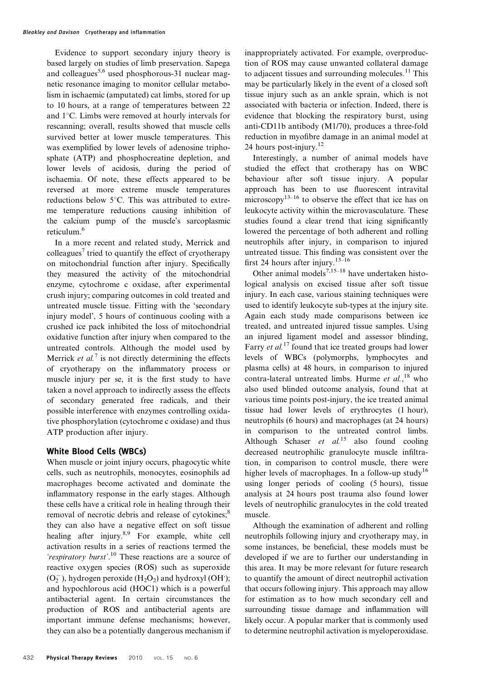Evidence to support secondary injury theory is based largely on studies of limb preservation. Sapega and colleagues<sup>5,6</sup> used phosphorous-31 nuclear magnetic resonance imaging to monitor cellular metabolism in ischaemic (amputated) cat limbs, stored for up to 10 hours, at a range of temperatures between 22 and  $1^{\circ}$ C. Limbs were removed at hourly intervals for rescanning; overall, results showed that muscle cells survived better at lower muscle temperatures. This was exemplified by lower levels of adenosine triphosphate (ATP) and phosphocreatine depletion, and lower levels of acidosis, during the period of ischaemia. Of note, these effects appeared to be reversed at more extreme muscle temperatures reductions below  $5^{\circ}$ C. This was attributed to extreme temperature reductions causing inhibition of the calcium pump of the muscle's sarcoplasmic reticulum.<sup>6</sup>

In a more recent and related study, Merrick and colleagues<sup>7</sup> tried to quantify the effect of cryotherapy on mitochondrial function after injury. Specifically they measured the activity of the mitochondrial enzyme, cytochrome c oxidase, after experimental crush injury; comparing outcomes in cold treated and untreated muscle tissue. Fitting with the 'secondary injury model', 5 hours of continuous cooling with a crushed ice pack inhibited the loss of mitochondrial oxidative function after injury when compared to the untreated controls. Although the model used by Merrick *et al.*<sup>7</sup> is not directly determining the effects of cryotherapy on the inflammatory process or muscle injury per se, it is the first study to have taken a novel approach to indirectly assess the effects of secondary generated free radicals, and their possible interference with enzymes controlling oxidative phosphorylation (cytochrome c oxidase) and thus ATP production after injury.

#### White Blood Cells (WBCs)

When muscle or joint injury occurs, phagocytic white cells, such as neutrophils, monocytes, eosinophils ad macrophages become activated and dominate the inflammatory response in the early stages. Although these cells have a critical role in healing through their removal of necrotic debris and release of cytokines;<sup>8</sup> they can also have a negative effect on soft tissue healing after injury.<sup>8,9</sup> For example, white cell activation results in a series of reactions termed the 'respiratory burst'.<sup>10</sup> These reactions are a source of reactive oxygen species (ROS) such as superoxide  $(O_2^-)$ , hydrogen peroxide  $(H_2O_2)$  and hydroxyl  $(OH^*)$ ; and hypochlorous acid (HOC1) which is a powerful antibacterial agent. In certain circumstances the production of ROS and antibacterial agents are important immune defense mechanisms; however, they can also be a potentially dangerous mechanism if inappropriately activated. For example, overproduction of ROS may cause unwanted collateral damage to adjacent tissues and surrounding molecules. $^{11}$  This may be particularly likely in the event of a closed soft tissue injury such as an ankle sprain, which is not associated with bacteria or infection. Indeed, there is evidence that blocking the respiratory burst, using anti-CD11b antibody (M1/70), produces a three-fold reduction in myofibre damage in an animal model at 24 hours post-injury. $12$ 

Interestingly, a number of animal models have studied the effect that crotherapy has on WBC behaviour after soft tissue injury. A popular approach has been to use fluorescent intravital microscopy $13-16$  to observe the effect that ice has on leukocyte activity within the microvasculature. These studies found a clear trend that icing significantly lowered the percentage of both adherent and rolling neutrophils after injury, in comparison to injured untreated tissue. This finding was consistent over the first 24 hours after injury.<sup>13–16</sup>

Other animal models<sup>7,15–18</sup> have undertaken histological analysis on excised tissue after soft tissue injury. In each case, various staining techniques were used to identify leukocyte sub-types at the injury site. Again each study made comparisons between ice treated, and untreated injured tissue samples. Using an injured ligament model and assessor blinding, Farry *et al.*<sup>17</sup> found that ice treated groups had lower levels of WBCs (polymorphs, lymphocytes and plasma cells) at 48 hours, in comparison to injured contra-lateral untreated limbs. Hurme et  $al$ , <sup>18</sup> who also used blinded outcome analysis, found that at various time points post-injury, the ice treated animal tissue had lower levels of erythrocytes (1 hour), neutrophils (6 hours) and macrophages (at 24 hours) in comparison to the untreated control limbs. Although Schaser et  $al^{15}$  also found cooling decreased neutrophilic granulocyte muscle infiltration, in comparison to control muscle, there were higher levels of macrophages. In a follow-up study<sup>16</sup> using longer periods of cooling (5 hours), tissue analysis at 24 hours post trauma also found lower levels of neutrophilic granulocytes in the cold treated muscle.

Although the examination of adherent and rolling neutrophils following injury and cryotherapy may, in some instances, be beneficial, these models must be developed if we are to further our understanding in this area. It may be more relevant for future research to quantify the amount of direct neutrophil activation that occurs following injury. This approach may allow for estimation as to how much secondary cell and surrounding tissue damage and inflammation will likely occur. A popular marker that is commonly used to determine neutrophil activation is myeloperoxidase.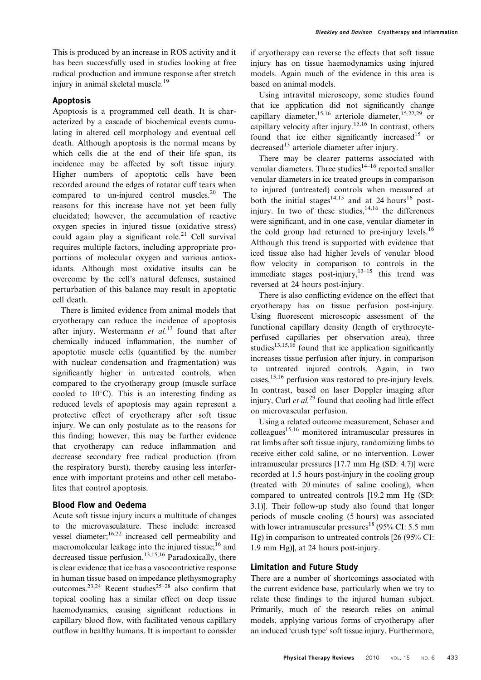# Apoptosis

Apoptosis is a programmed cell death. It is characterized by a cascade of biochemical events cumulating in altered cell morphology and eventual cell death. Although apoptosis is the normal means by which cells die at the end of their life span, its incidence may be affected by soft tissue injury. Higher numbers of apoptotic cells have been recorded around the edges of rotator cuff tears when compared to un-injured control muscles. $^{20}$  The reasons for this increase have not yet been fully elucidated; however, the accumulation of reactive oxygen species in injured tissue (oxidative stress) could again play a significant role.<sup>21</sup> Cell survival requires multiple factors, including appropriate proportions of molecular oxygen and various antioxidants. Although most oxidative insults can be overcome by the cell's natural defenses, sustained perturbation of this balance may result in apoptotic cell death.

There is limited evidence from animal models that cryotherapy can reduce the incidence of apoptosis after injury. Westermann et  $al$ .<sup>13</sup> found that after chemically induced inflammation, the number of apoptotic muscle cells (quantified by the number with nuclear condensation and fragmentation) was significantly higher in untreated controls, when compared to the cryotherapy group (muscle surface cooled to  $10^{\circ}$ C). This is an interesting finding as reduced levels of apoptosis may again represent a protective effect of cryotherapy after soft tissue injury. We can only postulate as to the reasons for this finding; however, this may be further evidence that cryotherapy can reduce inflammation and decrease secondary free radical production (from the respiratory burst), thereby causing less interference with important proteins and other cell metabolites that control apoptosis.

# Blood Flow and Oedema

Acute soft tissue injury incurs a multitude of changes to the microvasculature. These include: increased vessel diameter;16,22 increased cell permeability and macromolecular leakage into the injured tissue; $^{16}$  and decreased tissue perfusion.<sup>13,15,16</sup> Paradoxically, there is clear evidence that ice has a vasocontrictive response in human tissue based on impedance plethysmography outcomes.<sup>23,24</sup> Recent studies<sup>25–28</sup> also confirm that topical cooling has a similar effect on deep tissue haemodynamics, causing significant reductions in capillary blood flow, with facilitated venous capillary outflow in healthy humans. It is important to consider if cryotherapy can reverse the effects that soft tissue injury has on tissue haemodynamics using injured models. Again much of the evidence in this area is based on animal models.

Using intravital microscopy, some studies found that ice application did not significantly change capillary diameter,<sup>15,16</sup> arteriole diameter,<sup>15,22,29</sup> or capillary velocity after injury.15,16 In contrast, others found that ice either significantly increased<sup>15</sup> or  $decreased<sup>13</sup>$  arteriole diameter after injury.

There may be clearer patterns associated with venular diameters. Three studies<sup>14–16</sup> reported smaller venular diameters in ice treated groups in comparison to injured (untreated) controls when measured at both the initial stages<sup>14,15</sup> and at 24 hours<sup>16</sup> postinjury. In two of these studies,  $14,16$  the differences were significant, and in one case, venular diameter in the cold group had returned to pre-injury levels.<sup>16</sup> Although this trend is supported with evidence that iced tissue also had higher levels of venular blood flow velocity in comparison to controls in the immediate stages post-injury,  $13-15$  this trend was reversed at 24 hours post-injury.

There is also conflicting evidence on the effect that cryotherapy has on tissue perfusion post-injury. Using fluorescent microscopic assessment of the functional capillary density (length of erythrocyteperfused capillaries per observation area), three studies<sup>13,15,16</sup> found that ice application significantly increases tissue perfusion after injury, in comparison to untreated injured controls. Again, in two cases,15,16 perfusion was restored to pre-injury levels. In contrast, based on laser Doppler imaging after injury, Curl et  $al^{29}$  found that cooling had little effect on microvascular perfusion.

Using a related outcome measurement, Schaser and colleagues<sup>15,16</sup> monitored intramuscular pressures in rat limbs after soft tissue injury, randomizing limbs to receive either cold saline, or no intervention. Lower intramuscular pressures [17.7 mm Hg (SD: 4.7)] were recorded at 1.5 hours post-injury in the cooling group (treated with 20 minutes of saline cooling), when compared to untreated controls [19.2 mm Hg (SD: 3.1)]. Their follow-up study also found that longer periods of muscle cooling (5 hours) was associated with lower intramuscular pressures<sup>18</sup> (95% CI: 5.5 mm Hg) in comparison to untreated controls [26 (95% CI: 1.9 mm Hg)], at 24 hours post-injury.

# Limitation and Future Study

There are a number of shortcomings associated with the current evidence base, particularly when we try to relate these findings to the injured human subject. Primarily, much of the research relies on animal models, applying various forms of cryotherapy after an induced 'crush type' soft tissue injury. Furthermore,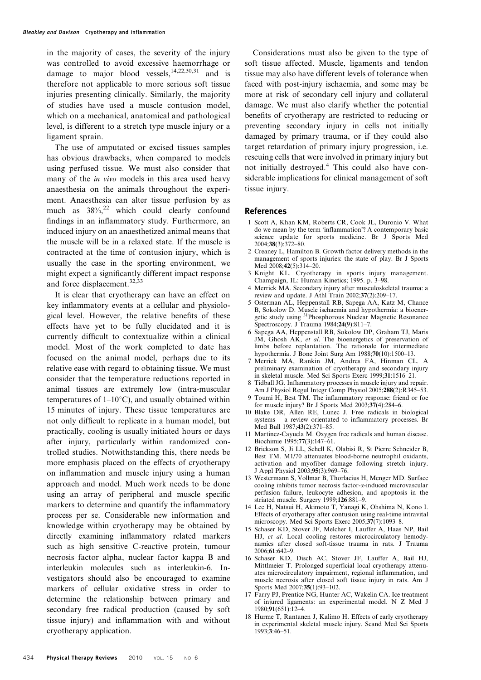in the majority of cases, the severity of the injury was controlled to avoid excessive haemorrhage or damage to major blood vessels,  $14,22,30,31$  and is therefore not applicable to more serious soft tissue injuries presenting clinically. Similarly, the majority of studies have used a muscle contusion model, which on a mechanical, anatomical and pathological level, is different to a stretch type muscle injury or a ligament sprain.

The use of amputated or excised tissues samples has obvious drawbacks, when compared to models using perfused tissue. We must also consider that many of the *in vivo* models in this area used heavy anaesthesia on the animals throughout the experiment. Anaesthesia can alter tissue perfusion by as much as  $38\%$ , <sup>22</sup> which could clearly confound findings in an inflammatory study. Furthermore, an induced injury on an anaesthetized animal means that the muscle will be in a relaxed state. If the muscle is contracted at the time of contusion injury, which is usually the case in the sporting environment, we might expect a significantly different impact response and force displacement.<sup>32,33</sup>

It is clear that cryotherapy can have an effect on key inflammatory events at a cellular and physiological level. However, the relative benefits of these effects have yet to be fully elucidated and it is currently difficult to contextualize within a clinical model. Most of the work completed to date has focused on the animal model, perhaps due to its relative ease with regard to obtaining tissue. We must consider that the temperature reductions reported in animal tissues are extremely low (intra-muscular temperatures of  $1-10^{\circ}$ C), and usually obtained within 15 minutes of injury. These tissue temperatures are not only difficult to replicate in a human model, but practically, cooling is usually initiated hours or days after injury, particularly within randomized controlled studies. Notwithstanding this, there needs be more emphasis placed on the effects of cryotherapy on inflammation and muscle injury using a human approach and model. Much work needs to be done using an array of peripheral and muscle specific markers to determine and quantify the inflammatory process per se. Considerable new information and knowledge within cryotherapy may be obtained by directly examining inflammatory related markers such as high sensitive C-reactive protein, tumour necrosis factor alpha, nuclear factor kappa B and interleukin molecules such as interleukin-6. Investigators should also be encouraged to examine markers of cellular oxidative stress in order to determine the relationship between primary and secondary free radical production (caused by soft tissue injury) and inflammation with and without cryotherapy application.

Considerations must also be given to the type of soft tissue affected. Muscle, ligaments and tendon tissue may also have different levels of tolerance when faced with post-injury ischaemia, and some may be more at risk of secondary cell injury and collateral damage. We must also clarify whether the potential benefits of cryotherapy are restricted to reducing or preventing secondary injury in cells not initially damaged by primary trauma, or if they could also target retardation of primary injury progression, i.e. rescuing cells that were involved in primary injury but not initially destroyed.<sup>4</sup> This could also have considerable implications for clinical management of soft tissue injury.

#### References

- 1 Scott A, Khan KM, Roberts CR, Cook JL, Duronio V. What do we mean by the term 'inflammation'? A contemporary basic science update for sports medicine. Br J Sports Med  $2004;38(3):372-80.$
- 2 Creaney L, Hamilton B. Growth factor delivery methods in the management of sports injuries: the state of play. Br J Sports Med 2008;42(5):314–20.
- 3 Knight KL. Cryotherapy in sports injury management. Champaign, IL: Human Kinetics; 1995. p. 3–98.
- 4 Merrick MA. Secondary injury after musculoskeletal trauma: a review and update. J Athl Train 2002;37(2):209–17.
- 5 Osterman AL, Heppenstall RB, Sapega AA, Katz M, Chance B, Sokolow D. Muscle ischaemia and hypothermia: a bioenergetic study using 31Phosphorous Nuclear Magnetic Resonance Spectroscopy. J Trauma 1984;24(9):811–7.
- 6 Sapega AA, Heppenstall RB, Sokolow DP, Graham TJ, Maris JM, Ghosh AK, et al. The bioenergetics of preservation of limbs before replantation. The rationale for intermediate hypothermia. J Bone Joint Surg Am 1988;70(10):1500–13.
- 7 Merrick MA, Rankin JM, Andres FA, Hinman CL. A preliminary examination of cryotherapy and secondary injury in skeletal muscle. Med Sci Sports Exerc 1999;31:1516–21.
- 8 Tidball JG. Inflammatory processes in muscle injury and repair. Am J Physiol Regul Integr Comp Physiol 2005;288(2):R345–53.
- 9 Toumi H, Best TM. The inflammatory response: friend or foe for muscle injury? Br J Sports Med  $2003;37(4):284-6$ .
- 10 Blake DR, Allen RE, Lunec J. Free radicals in biological systems – a review orientated to inflammatory processes. Br Med Bull 1987;43(2):371–85.
- 11 Martinez-Cayuela M. Oxygen free radicals and human disease. Biochimie 1995;77(3):147–61.
- 12 Brickson S, Ji LL, Schell K, Olabisi R, St Pierre Schneider B, Best TM. M1/70 attenuates blood-borne neutrophil oxidants, activation and myofiber damage following stretch injury. J Appl Physiol 2003;95(3):969–76.
- 13 Westermann S, Vollmar B, Thorlacius H, Menger MD. Surface cooling inhibits tumor necrosis factor-a-induced microvascular perfusion failure, leukocyte adhesion, and apoptosis in the striated muscle. Surgery 1999;126:881–9.
- 14 Lee H, Natsui H, Akimoto T, Yanagi K, Ohshima N, Kono I. Effects of cryotherapy after contusion using real-time intravital microscopy. Med Sci Sports Exerc 2005:37(7):1093-8.
- 15 Schaser KD, Stover JF, Melcher I, Lauffer A, Haas NP, Bail HJ, et al. Local cooling restores microcirculatory hemodynamics after closed soft-tissue trauma in rats. J Trauma 2006;61:642–9.
- 16 Schaser KD, Disch AC, Stover JF, Lauffer A, Bail HJ, Mittlmeier T. Prolonged superficial local cryotherapy attenuates microcirculatory impairment, regional inflammation, and muscle necrosis after closed soft tissue injury in rats. Am J Sports Med 2007;35(1):93–102.
- 17 Farry PJ, Prentice NG, Hunter AC, Wakelin CA. Ice treatment of injured ligaments: an experimental model. N Z Med J 1980;91(651):12–4.
- 18 Hurme T, Rantanen J, Kalimo H. Effects of early cryotherapy in experimental skeletal muscle injury. Scand Med Sci Sports 1993;3:46–51.